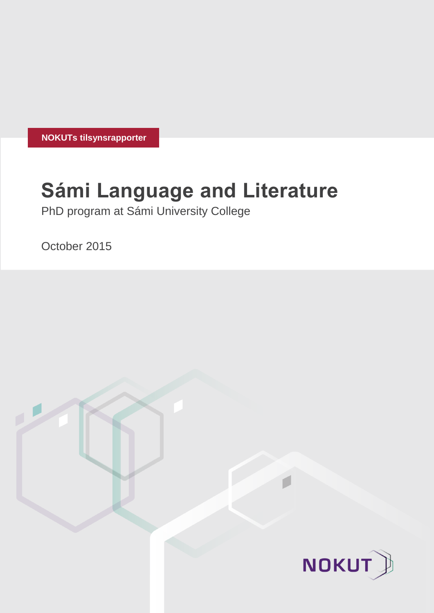**NOKUTs tilsynsrapporter**

# **Sámi Language and Literature**

PhD program at Sámi University College

October 2015

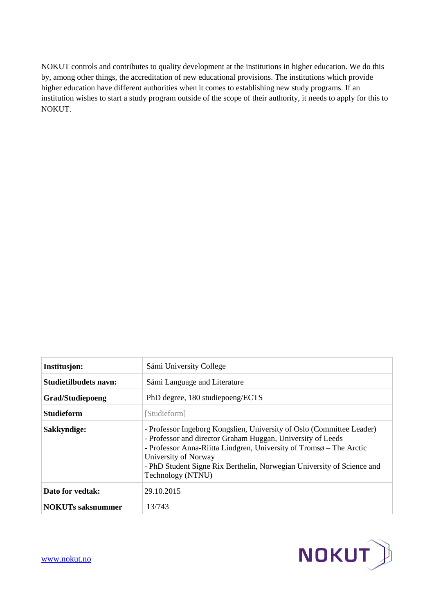NOKUT controls and contributes to quality development at the institutions in higher education. We do this by, among other things, the accreditation of new educational provisions. The institutions which provide higher education have different authorities when it comes to establishing new study programs. If an institution wishes to start a study program outside of the scope of their authority, it needs to apply for this to NOKUT.

| Institusjon:             | Sámi University College                                                                                                                                                                                                                                                                                                            |  |  |
|--------------------------|------------------------------------------------------------------------------------------------------------------------------------------------------------------------------------------------------------------------------------------------------------------------------------------------------------------------------------|--|--|
| Studietilbudets navn:    | Sámi Language and Literature                                                                                                                                                                                                                                                                                                       |  |  |
| <b>Grad/Studiepoeng</b>  | PhD degree, 180 studiepoeng/ECTS                                                                                                                                                                                                                                                                                                   |  |  |
| <b>Studieform</b>        | [Studieform]                                                                                                                                                                                                                                                                                                                       |  |  |
| Sakkyndige:              | - Professor Ingeborg Kongslien, University of Oslo (Committee Leader)<br>- Professor and director Graham Huggan, University of Leeds<br>- Professor Anna-Riitta Lindgren, University of Tromsø – The Arctic<br>University of Norway<br>- PhD Student Signe Rix Berthelin, Norwegian University of Science and<br>Technology (NTNU) |  |  |
| Dato for vedtak:         | 29.10.2015                                                                                                                                                                                                                                                                                                                         |  |  |
| <b>NOKUTs saksnummer</b> | 13/743                                                                                                                                                                                                                                                                                                                             |  |  |

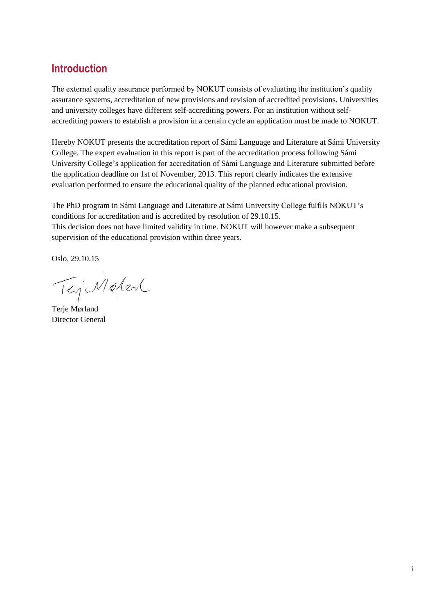# **Introduction**

The external quality assurance performed by NOKUT consists of evaluating the institution's quality assurance systems, accreditation of new provisions and revision of accredited provisions. Universities and university colleges have different self-accrediting powers. For an institution without selfaccrediting powers to establish a provision in a certain cycle an application must be made to NOKUT.

Hereby NOKUT presents the accreditation report of Sámi Language and Literature at Sámi University College. The expert evaluation in this report is part of the accreditation process following Sámi University College's application for accreditation of Sámi Language and Literature submitted before the application deadline on 1st of November, 2013. This report clearly indicates the extensive evaluation performed to ensure the educational quality of the planned educational provision.

The PhD program in Sámi Language and Literature at Sámi University College fulfils NOKUT's conditions for accreditation and is accredited by resolution of 29.10.15. This decision does not have limited validity in time. NOKUT will however make a subsequent supervision of the educational provision within three years.

Oslo, 29.10.15

TejiMeter

Terje Mørland Director General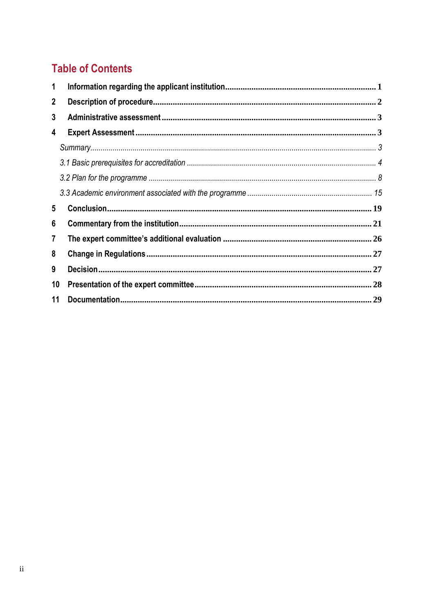# **Table of Contents**

| 1            |  |  |  |
|--------------|--|--|--|
| $\mathbf{2}$ |  |  |  |
| 3            |  |  |  |
| 4            |  |  |  |
|              |  |  |  |
|              |  |  |  |
|              |  |  |  |
|              |  |  |  |
| 5            |  |  |  |
| 6            |  |  |  |
| 7            |  |  |  |
| 8            |  |  |  |
| 9            |  |  |  |
| 10           |  |  |  |
| 11           |  |  |  |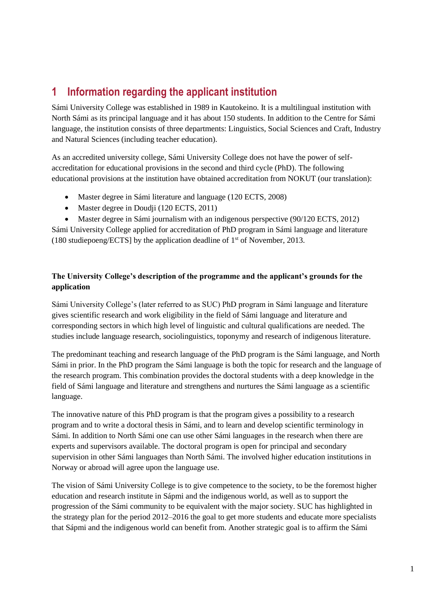# <span id="page-4-0"></span>**1 Information regarding the applicant institution**

Sámi University College was established in 1989 in Kautokeino. It is a multilingual institution with North Sámi as its principal language and it has about 150 students. In addition to the Centre for Sámi language, the institution consists of three departments: Linguistics, Social Sciences and Craft, Industry and Natural Sciences (including teacher education).

As an accredited university college, Sámi University College does not have the power of selfaccreditation for educational provisions in the second and third cycle (PhD). The following educational provisions at the institution have obtained accreditation from NOKUT (our translation):

- Master degree in Sámi literature and language (120 ECTS, 2008)
- Master degree in Doudji (120 ECTS, 2011)

 Master degree in Sámi journalism with an indigenous perspective (90/120 ECTS, 2012) Sámi University College applied for accreditation of PhD program in Sámi language and literature (180 studiepoeng/ECTS] by the application deadline of  $1<sup>st</sup>$  of November, 2013.

#### **The University College's description of the programme and the applicant's grounds for the application**

Sámi University College's (later referred to as SUC) PhD program in Sámi language and literature gives scientific research and work eligibility in the field of Sámi language and literature and corresponding sectors in which high level of linguistic and cultural qualifications are needed. The studies include language research, sociolinguistics, toponymy and research of indigenous literature.

The predominant teaching and research language of the PhD program is the Sámi language, and North Sámi in prior. In the PhD program the Sámi language is both the topic for research and the language of the research program. This combination provides the doctoral students with a deep knowledge in the field of Sámi language and literature and strengthens and nurtures the Sámi language as a scientific language.

The innovative nature of this PhD program is that the program gives a possibility to a research program and to write a doctoral thesis in Sámi, and to learn and develop scientific terminology in Sámi. In addition to North Sámi one can use other Sámi languages in the research when there are experts and supervisors available. The doctoral program is open for principal and secondary supervision in other Sámi languages than North Sámi. The involved higher education institutions in Norway or abroad will agree upon the language use.

The vision of Sámi University College is to give competence to the society, to be the foremost higher education and research institute in Sápmi and the indigenous world, as well as to support the progression of the Sámi community to be equivalent with the major society. SUC has highlighted in the strategy plan for the period 2012–2016 the goal to get more students and educate more specialists that Sápmi and the indigenous world can benefit from. Another strategic goal is to affirm the Sámi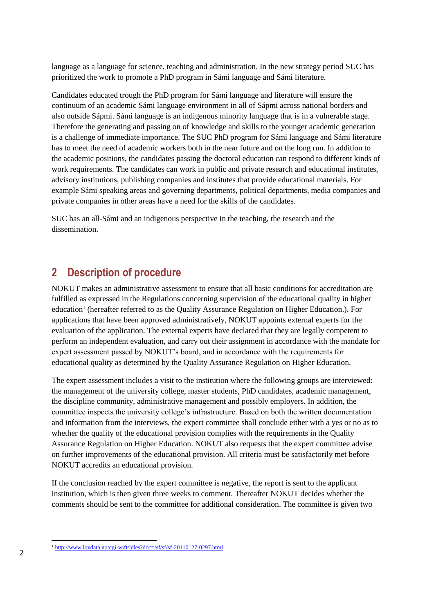language as a language for science, teaching and administration. In the new strategy period SUC has prioritized the work to promote a PhD program in Sámi language and Sámi literature.

Candidates educated trough the PhD program for Sámi language and literature will ensure the continuum of an academic Sámi language environment in all of Sápmi across national borders and also outside Sápmi. Sámi language is an indigenous minority language that is in a vulnerable stage. Therefore the generating and passing on of knowledge and skills to the younger academic generation is a challenge of immediate importance. The SUC PhD program for Sámi language and Sámi literature has to meet the need of academic workers both in the near future and on the long run. In addition to the academic positions, the candidates passing the doctoral education can respond to different kinds of work requirements. The candidates can work in public and private research and educational institutes, advisory institutions, publishing companies and institutes that provide educational materials. For example Sámi speaking areas and governing departments, political departments, media companies and private companies in other areas have a need for the skills of the candidates.

SUC has an all-Sámi and an indigenous perspective in the teaching, the research and the dissemination.

### <span id="page-5-0"></span>**2 Description of procedure**

NOKUT makes an administrative assessment to ensure that all basic conditions for accreditation are fulfilled as expressed in the Regulations concerning supervision of the educational quality in higher education<sup>1</sup> (hereafter referred to as the Quality Assurance Regulation on Higher Education.). For applications that have been approved administratively, NOKUT appoints external experts for the evaluation of the application. The external experts have declared that they are legally competent to perform an independent evaluation, and carry out their assignment in accordance with the mandate for expert assessment passed by NOKUT's board, and in accordance with the requirements for educational quality as determined by the Quality Assurance Regulation on Higher Education.

The expert assessment includes a visit to the institution where the following groups are interviewed: the management of the university college, master students, PhD candidates, academic management, the discipline community, administrative management and possibly employers. In addition, the committee inspects the university college's infrastructure. Based on both the written documentation and information from the interviews, the expert committee shall conclude either with a yes or no as to whether the quality of the educational provision complies with the requirements in the Quality Assurance Regulation on Higher Education. NOKUT also requests that the expert committee advise on further improvements of the educational provision. All criteria must be satisfactorily met before NOKUT accredits an educational provision.

If the conclusion reached by the expert committee is negative, the report is sent to the applicant institution, which is then given three weeks to comment. Thereafter NOKUT decides whether the comments should be sent to the committee for additional consideration. The committee is given two

l <sup>1</sup> <http://www.lovdata.no/cgi-wift/ldles?doc=/sf/sf/sf-20110127-0297.html>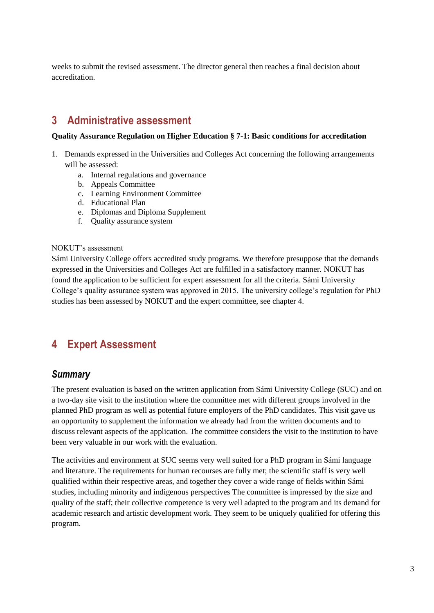weeks to submit the revised assessment. The director general then reaches a final decision about accreditation.

# <span id="page-6-0"></span>**3 Administrative assessment**

#### **Quality Assurance Regulation on Higher Education § 7-1: Basic conditions for accreditation**

- 1. Demands expressed in the Universities and Colleges Act concerning the following arrangements will be assessed:
	- a. Internal regulations and governance
	- b. Appeals Committee
	- c. Learning Environment Committee
	- d. Educational Plan
	- e. Diplomas and Diploma Supplement
	- f. Quality assurance system

#### NOKUT's assessment

Sámi University College offers accredited study programs. We therefore presuppose that the demands expressed in the Universities and Colleges Act are fulfilled in a satisfactory manner. NOKUT has found the application to be sufficient for expert assessment for all the criteria. Sámi University College's quality assurance system was approved in 2015. The university college's regulation for PhD studies has been assessed by NOKUT and the expert committee, see chapter 4.

# <span id="page-6-1"></span>**4 Expert Assessment**

#### <span id="page-6-2"></span>*Summary*

The present evaluation is based on the written application from Sámi University College (SUC) and on a two-day site visit to the institution where the committee met with different groups involved in the planned PhD program as well as potential future employers of the PhD candidates. This visit gave us an opportunity to supplement the information we already had from the written documents and to discuss relevant aspects of the application. The committee considers the visit to the institution to have been very valuable in our work with the evaluation.

The activities and environment at SUC seems very well suited for a PhD program in Sámi language and literature. The requirements for human recourses are fully met; the scientific staff is very well qualified within their respective areas, and together they cover a wide range of fields within Sámi studies, including minority and indigenous perspectives The committee is impressed by the size and quality of the staff; their collective competence is very well adapted to the program and its demand for academic research and artistic development work. They seem to be uniquely qualified for offering this program.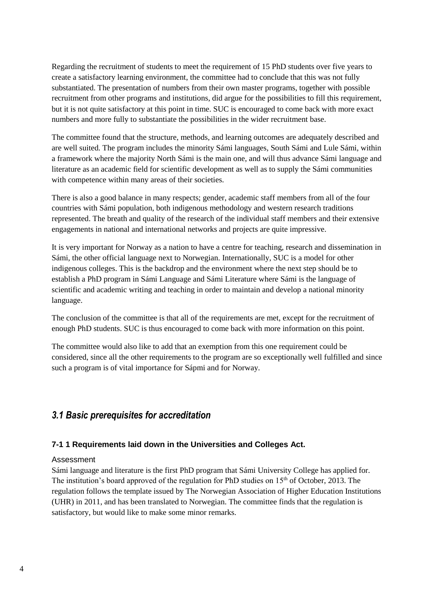Regarding the recruitment of students to meet the requirement of 15 PhD students over five years to create a satisfactory learning environment, the committee had to conclude that this was not fully substantiated. The presentation of numbers from their own master programs, together with possible recruitment from other programs and institutions, did argue for the possibilities to fill this requirement, but it is not quite satisfactory at this point in time. SUC is encouraged to come back with more exact numbers and more fully to substantiate the possibilities in the wider recruitment base.

The committee found that the structure, methods, and learning outcomes are adequately described and are well suited. The program includes the minority Sámi languages, South Sámi and Lule Sámi, within a framework where the majority North Sámi is the main one, and will thus advance Sámi language and literature as an academic field for scientific development as well as to supply the Sámi communities with competence within many areas of their societies.

There is also a good balance in many respects; gender, academic staff members from all of the four countries with Sámi population, both indigenous methodology and western research traditions represented. The breath and quality of the research of the individual staff members and their extensive engagements in national and international networks and projects are quite impressive.

It is very important for Norway as a nation to have a centre for teaching, research and dissemination in Sámi, the other official language next to Norwegian. Internationally, SUC is a model for other indigenous colleges. This is the backdrop and the environment where the next step should be to establish a PhD program in Sámi Language and Sámi Literature where Sámi is the language of scientific and academic writing and teaching in order to maintain and develop a national minority language.

The conclusion of the committee is that all of the requirements are met, except for the recruitment of enough PhD students. SUC is thus encouraged to come back with more information on this point.

The committee would also like to add that an exemption from this one requirement could be considered, since all the other requirements to the program are so exceptionally well fulfilled and since such a program is of vital importance for Sápmi and for Norway.

#### <span id="page-7-0"></span>*3.1 Basic prerequisites for accreditation*

#### **7-1 1 Requirements laid down in the Universities and Colleges Act.**

#### Assessment

Sámi language and literature is the first PhD program that Sámi University College has applied for. The institution's board approved of the regulation for PhD studies on 15<sup>th</sup> of October, 2013. The regulation follows the template issued by The Norwegian Association of Higher Education Institutions (UHR) in 2011, and has been translated to Norwegian. The committee finds that the regulation is satisfactory, but would like to make some minor remarks.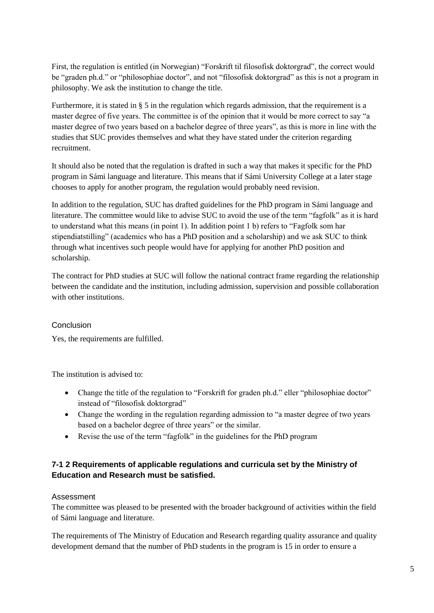First, the regulation is entitled (in Norwegian) "Forskrift til filosofisk doktorgrad", the correct would be "graden ph.d." or "philosophiae doctor", and not "filosofisk doktorgrad" as this is not a program in philosophy. We ask the institution to change the title.

Furthermore, it is stated in § 5 in the regulation which regards admission, that the requirement is a master degree of five years. The committee is of the opinion that it would be more correct to say "a master degree of two years based on a bachelor degree of three years", as this is more in line with the studies that SUC provides themselves and what they have stated under the criterion regarding recruitment.

It should also be noted that the regulation is drafted in such a way that makes it specific for the PhD program in Sámi language and literature. This means that if Sámi University College at a later stage chooses to apply for another program, the regulation would probably need revision.

In addition to the regulation, SUC has drafted guidelines for the PhD program in Sámi language and literature. The committee would like to advise SUC to avoid the use of the term "fagfolk" as it is hard to understand what this means (in point 1). In addition point 1 b) refers to "Fagfolk som har stipendiatstilling" (academics who has a PhD position and a scholarship) and we ask SUC to think through what incentives such people would have for applying for another PhD position and scholarship.

The contract for PhD studies at SUC will follow the national contract frame regarding the relationship between the candidate and the institution, including admission, supervision and possible collaboration with other institutions.

#### Conclusion

Yes, the requirements are fulfilled.

The institution is advised to:

- Change the title of the regulation to "Forskrift for graden ph.d." eller "philosophiae doctor" instead of "filosofisk doktorgrad"
- Change the wording in the regulation regarding admission to "a master degree of two years based on a bachelor degree of three years" or the similar.
- Revise the use of the term "fagfolk" in the guidelines for the PhD program

#### **7-1 2 Requirements of applicable regulations and curricula set by the Ministry of Education and Research must be satisfied.**

#### Assessment

The committee was pleased to be presented with the broader background of activities within the field of Sámi language and literature.

The requirements of The Ministry of Education and Research regarding quality assurance and quality development demand that the number of PhD students in the program is 15 in order to ensure a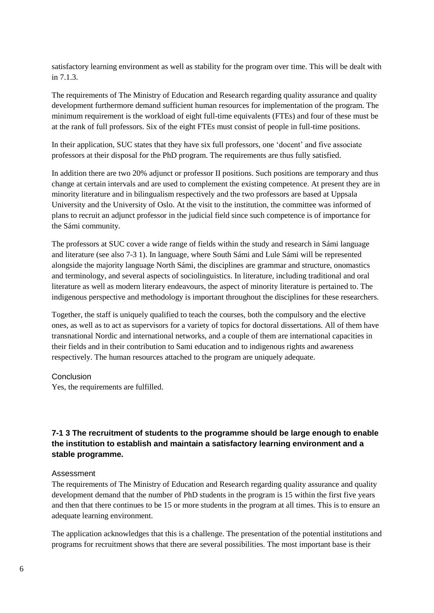satisfactory learning environment as well as stability for the program over time. This will be dealt with in 7.1.3.

The requirements of The Ministry of Education and Research regarding quality assurance and quality development furthermore demand sufficient human resources for implementation of the program. The minimum requirement is the workload of eight full-time equivalents (FTEs) and four of these must be at the rank of full professors. Six of the eight FTEs must consist of people in full-time positions.

In their application, SUC states that they have six full professors, one 'docent' and five associate professors at their disposal for the PhD program. The requirements are thus fully satisfied.

In addition there are two 20% adjunct or professor II positions. Such positions are temporary and thus change at certain intervals and are used to complement the existing competence. At present they are in minority literature and in bilingualism respectively and the two professors are based at Uppsala University and the University of Oslo. At the visit to the institution, the committee was informed of plans to recruit an adjunct professor in the judicial field since such competence is of importance for the Sámi community.

The professors at SUC cover a wide range of fields within the study and research in Sámi language and literature (see also 7-3 1). In language, where South Sámi and Lule Sámi will be represented alongside the majority language North Sámi, the disciplines are grammar and structure, onomastics and terminology, and several aspects of sociolinguistics. In literature, including traditional and oral literature as well as modern literary endeavours, the aspect of minority literature is pertained to. The indigenous perspective and methodology is important throughout the disciplines for these researchers.

Together, the staff is uniquely qualified to teach the courses, both the compulsory and the elective ones, as well as to act as supervisors for a variety of topics for doctoral dissertations. All of them have transnational Nordic and international networks, and a couple of them are international capacities in their fields and in their contribution to Sami education and to indigenous rights and awareness respectively. The human resources attached to the program are uniquely adequate.

#### Conclusion

Yes, the requirements are fulfilled.

#### **7-1 3 The recruitment of students to the programme should be large enough to enable the institution to establish and maintain a satisfactory learning environment and a stable programme.**

#### Assessment

The requirements of The Ministry of Education and Research regarding quality assurance and quality development demand that the number of PhD students in the program is 15 within the first five years and then that there continues to be 15 or more students in the program at all times. This is to ensure an adequate learning environment.

The application acknowledges that this is a challenge. The presentation of the potential institutions and programs for recruitment shows that there are several possibilities. The most important base is their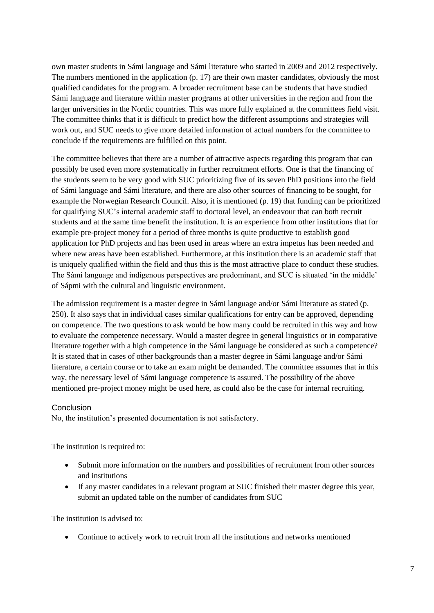own master students in Sámi language and Sámi literature who started in 2009 and 2012 respectively. The numbers mentioned in the application (p. 17) are their own master candidates, obviously the most qualified candidates for the program. A broader recruitment base can be students that have studied Sámi language and literature within master programs at other universities in the region and from the larger universities in the Nordic countries. This was more fully explained at the committees field visit. The committee thinks that it is difficult to predict how the different assumptions and strategies will work out, and SUC needs to give more detailed information of actual numbers for the committee to conclude if the requirements are fulfilled on this point.

The committee believes that there are a number of attractive aspects regarding this program that can possibly be used even more systematically in further recruitment efforts. One is that the financing of the students seem to be very good with SUC prioritizing five of its seven PhD positions into the field of Sámi language and Sámi literature, and there are also other sources of financing to be sought, for example the Norwegian Research Council. Also, it is mentioned (p. 19) that funding can be prioritized for qualifying SUC's internal academic staff to doctoral level, an endeavour that can both recruit students and at the same time benefit the institution. It is an experience from other institutions that for example pre-project money for a period of three months is quite productive to establish good application for PhD projects and has been used in areas where an extra impetus has been needed and where new areas have been established. Furthermore, at this institution there is an academic staff that is uniquely qualified within the field and thus this is the most attractive place to conduct these studies. The Sámi language and indigenous perspectives are predominant, and SUC is situated 'in the middle' of Sápmi with the cultural and linguistic environment.

The admission requirement is a master degree in Sámi language and/or Sámi literature as stated (p. 250). It also says that in individual cases similar qualifications for entry can be approved, depending on competence. The two questions to ask would be how many could be recruited in this way and how to evaluate the competence necessary. Would a master degree in general linguistics or in comparative literature together with a high competence in the Sámi language be considered as such a competence? It is stated that in cases of other backgrounds than a master degree in Sámi language and/or Sámi literature, a certain course or to take an exam might be demanded. The committee assumes that in this way, the necessary level of Sámi language competence is assured. The possibility of the above mentioned pre-project money might be used here, as could also be the case for internal recruiting.

#### **Conclusion**

No, the institution's presented documentation is not satisfactory.

The institution is required to:

- Submit more information on the numbers and possibilities of recruitment from other sources and institutions
- If any master candidates in a relevant program at SUC finished their master degree this year, submit an updated table on the number of candidates from SUC

The institution is advised to:

Continue to actively work to recruit from all the institutions and networks mentioned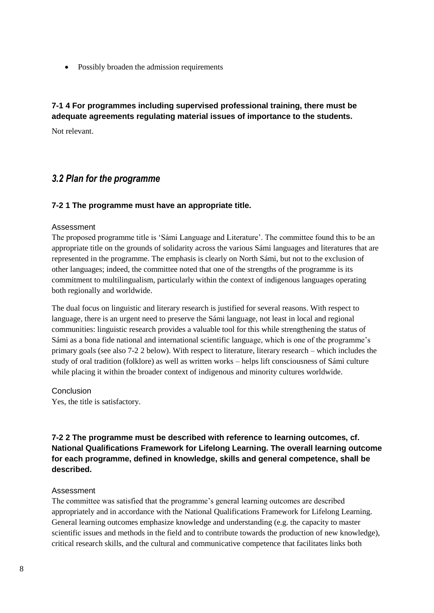• Possibly broaden the admission requirements

#### **7-1 4 For programmes including supervised professional training, there must be adequate agreements regulating material issues of importance to the students.**

Not relevant.

#### <span id="page-11-0"></span>*3.2 Plan for the programme*

#### **7-2 1 The programme must have an appropriate title.**

#### Assessment

The proposed programme title is 'Sámi Language and Literature'. The committee found this to be an appropriate title on the grounds of solidarity across the various Sámi languages and literatures that are represented in the programme. The emphasis is clearly on North Sámi, but not to the exclusion of other languages; indeed, the committee noted that one of the strengths of the programme is its commitment to multilingualism, particularly within the context of indigenous languages operating both regionally and worldwide.

The dual focus on linguistic and literary research is justified for several reasons. With respect to language, there is an urgent need to preserve the Sámi language, not least in local and regional communities: linguistic research provides a valuable tool for this while strengthening the status of Sámi as a bona fide national and international scientific language, which is one of the programme's primary goals (see also 7-2 2 below). With respect to literature, literary research – which includes the study of oral tradition (folklore) as well as written works – helps lift consciousness of Sámi culture while placing it within the broader context of indigenous and minority cultures worldwide.

**Conclusion** 

Yes, the title is satisfactory.

#### **7-2 2 The programme must be described with reference to learning outcomes, cf. National Qualifications Framework for Lifelong Learning. The overall learning outcome for each programme, defined in knowledge, skills and general competence, shall be described.**

#### Assessment

The committee was satisfied that the programme's general learning outcomes are described appropriately and in accordance with the National Qualifications Framework for Lifelong Learning. General learning outcomes emphasize knowledge and understanding (e.g. the capacity to master scientific issues and methods in the field and to contribute towards the production of new knowledge), critical research skills, and the cultural and communicative competence that facilitates links both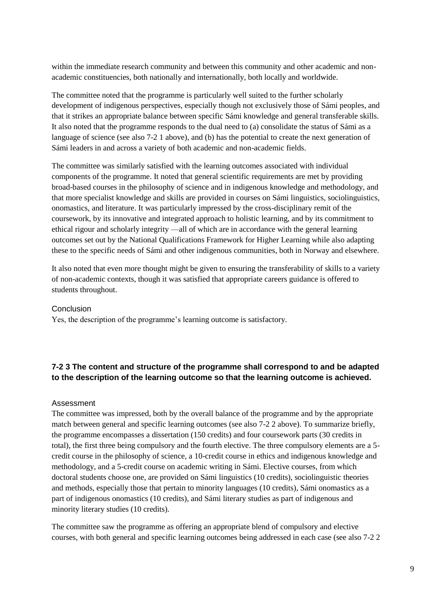within the immediate research community and between this community and other academic and nonacademic constituencies, both nationally and internationally, both locally and worldwide.

The committee noted that the programme is particularly well suited to the further scholarly development of indigenous perspectives, especially though not exclusively those of Sámi peoples, and that it strikes an appropriate balance between specific Sámi knowledge and general transferable skills. It also noted that the programme responds to the dual need to (a) consolidate the status of Sámi as a language of science (see also 7-2 1 above), and (b) has the potential to create the next generation of Sámi leaders in and across a variety of both academic and non-academic fields.

The committee was similarly satisfied with the learning outcomes associated with individual components of the programme. It noted that general scientific requirements are met by providing broad-based courses in the philosophy of science and in indigenous knowledge and methodology, and that more specialist knowledge and skills are provided in courses on Sámi linguistics, sociolinguistics, onomastics, and literature. It was particularly impressed by the cross-disciplinary remit of the coursework, by its innovative and integrated approach to holistic learning, and by its commitment to ethical rigour and scholarly integrity ––all of which are in accordance with the general learning outcomes set out by the National Qualifications Framework for Higher Learning while also adapting these to the specific needs of Sámi and other indigenous communities, both in Norway and elsewhere.

It also noted that even more thought might be given to ensuring the transferability of skills to a variety of non-academic contexts, though it was satisfied that appropriate careers guidance is offered to students throughout.

#### Conclusion

Yes, the description of the programme's learning outcome is satisfactory.

#### **7-2 3 The content and structure of the programme shall correspond to and be adapted to the description of the learning outcome so that the learning outcome is achieved.**

#### Assessment

The committee was impressed, both by the overall balance of the programme and by the appropriate match between general and specific learning outcomes (see also 7-2 2 above). To summarize briefly, the programme encompasses a dissertation (150 credits) and four coursework parts (30 credits in total), the first three being compulsory and the fourth elective. The three compulsory elements are a 5 credit course in the philosophy of science, a 10-credit course in ethics and indigenous knowledge and methodology, and a 5-credit course on academic writing in Sámi. Elective courses, from which doctoral students choose one, are provided on Sámi linguistics (10 credits), sociolinguistic theories and methods, especially those that pertain to minority languages (10 credits), Sámi onomastics as a part of indigenous onomastics (10 credits), and Sámi literary studies as part of indigenous and minority literary studies (10 credits).

The committee saw the programme as offering an appropriate blend of compulsory and elective courses, with both general and specific learning outcomes being addressed in each case (see also 7-2 2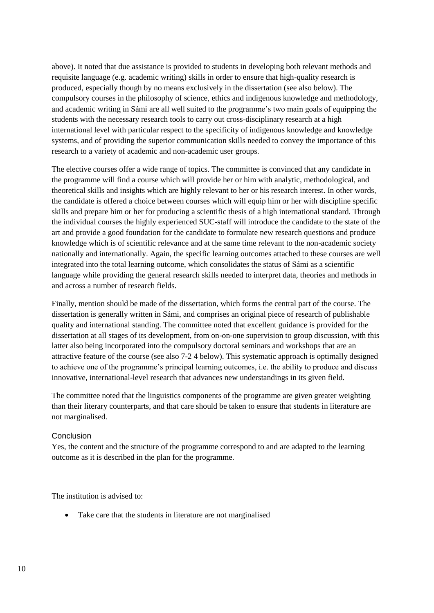above). It noted that due assistance is provided to students in developing both relevant methods and requisite language (e.g. academic writing) skills in order to ensure that high-quality research is produced, especially though by no means exclusively in the dissertation (see also below). The compulsory courses in the philosophy of science, ethics and indigenous knowledge and methodology, and academic writing in Sámi are all well suited to the programme's two main goals of equipping the students with the necessary research tools to carry out cross-disciplinary research at a high international level with particular respect to the specificity of indigenous knowledge and knowledge systems, and of providing the superior communication skills needed to convey the importance of this research to a variety of academic and non-academic user groups.

The elective courses offer a wide range of topics. The committee is convinced that any candidate in the programme will find a course which will provide her or him with analytic, methodological, and theoretical skills and insights which are highly relevant to her or his research interest. In other words, the candidate is offered a choice between courses which will equip him or her with discipline specific skills and prepare him or her for producing a scientific thesis of a high international standard. Through the individual courses the highly experienced SUC-staff will introduce the candidate to the state of the art and provide a good foundation for the candidate to formulate new research questions and produce knowledge which is of scientific relevance and at the same time relevant to the non-academic society nationally and internationally. Again, the specific learning outcomes attached to these courses are well integrated into the total learning outcome, which consolidates the status of Sámi as a scientific language while providing the general research skills needed to interpret data, theories and methods in and across a number of research fields.

Finally, mention should be made of the dissertation, which forms the central part of the course. The dissertation is generally written in Sámi, and comprises an original piece of research of publishable quality and international standing. The committee noted that excellent guidance is provided for the dissertation at all stages of its development, from on-on-one supervision to group discussion, with this latter also being incorporated into the compulsory doctoral seminars and workshops that are an attractive feature of the course (see also 7-2 4 below). This systematic approach is optimally designed to achieve one of the programme's principal learning outcomes, i.e. the ability to produce and discuss innovative, international-level research that advances new understandings in its given field.

The committee noted that the linguistics components of the programme are given greater weighting than their literary counterparts, and that care should be taken to ensure that students in literature are not marginalised.

#### Conclusion

Yes, the content and the structure of the programme correspond to and are adapted to the learning outcome as it is described in the plan for the programme.

The institution is advised to:

• Take care that the students in literature are not marginalised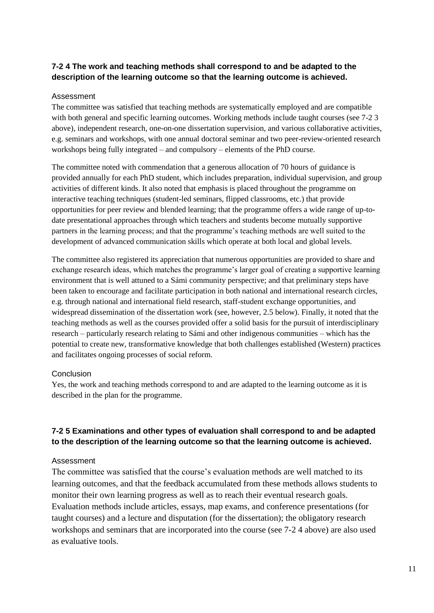#### **7-2 4 The work and teaching methods shall correspond to and be adapted to the description of the learning outcome so that the learning outcome is achieved.**

#### Assessment

The committee was satisfied that teaching methods are systematically employed and are compatible with both general and specific learning outcomes. Working methods include taught courses (see 7-2 3 above), independent research, one-on-one dissertation supervision, and various collaborative activities, e.g. seminars and workshops, with one annual doctoral seminar and two peer-review-oriented research workshops being fully integrated – and compulsory – elements of the PhD course.

The committee noted with commendation that a generous allocation of 70 hours of guidance is provided annually for each PhD student, which includes preparation, individual supervision, and group activities of different kinds. It also noted that emphasis is placed throughout the programme on interactive teaching techniques (student-led seminars, flipped classrooms, etc.) that provide opportunities for peer review and blended learning; that the programme offers a wide range of up-todate presentational approaches through which teachers and students become mutually supportive partners in the learning process; and that the programme's teaching methods are well suited to the development of advanced communication skills which operate at both local and global levels.

The committee also registered its appreciation that numerous opportunities are provided to share and exchange research ideas, which matches the programme's larger goal of creating a supportive learning environment that is well attuned to a Sámi community perspective; and that preliminary steps have been taken to encourage and facilitate participation in both national and international research circles, e.g. through national and international field research, staff-student exchange opportunities, and widespread dissemination of the dissertation work (see, however, 2.5 below). Finally, it noted that the teaching methods as well as the courses provided offer a solid basis for the pursuit of interdisciplinary research – particularly research relating to Sámi and other indigenous communities – which has the potential to create new, transformative knowledge that both challenges established (Western) practices and facilitates ongoing processes of social reform.

#### **Conclusion**

Yes, the work and teaching methods correspond to and are adapted to the learning outcome as it is described in the plan for the programme.

#### **7-2 5 Examinations and other types of evaluation shall correspond to and be adapted to the description of the learning outcome so that the learning outcome is achieved.**

#### Assessment

The committee was satisfied that the course's evaluation methods are well matched to its learning outcomes, and that the feedback accumulated from these methods allows students to monitor their own learning progress as well as to reach their eventual research goals. Evaluation methods include articles, essays, map exams, and conference presentations (for taught courses) and a lecture and disputation (for the dissertation); the obligatory research workshops and seminars that are incorporated into the course (see 7-2 4 above) are also used as evaluative tools.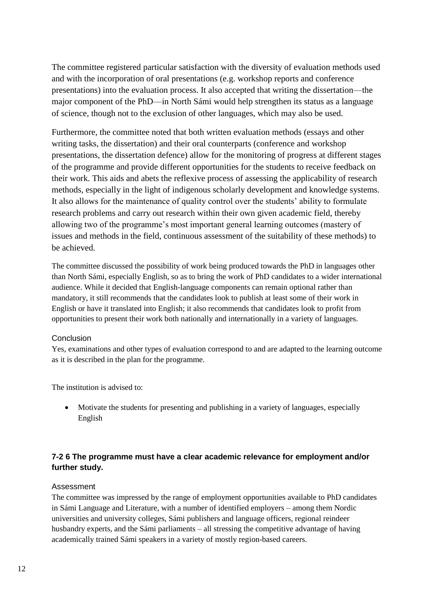The committee registered particular satisfaction with the diversity of evaluation methods used and with the incorporation of oral presentations (e.g. workshop reports and conference presentations) into the evaluation process. It also accepted that writing the dissertation––the major component of the PhD––in North Sámi would help strengthen its status as a language of science, though not to the exclusion of other languages, which may also be used.

Furthermore, the committee noted that both written evaluation methods (essays and other writing tasks, the dissertation) and their oral counterparts (conference and workshop presentations, the dissertation defence) allow for the monitoring of progress at different stages of the programme and provide different opportunities for the students to receive feedback on their work. This aids and abets the reflexive process of assessing the applicability of research methods, especially in the light of indigenous scholarly development and knowledge systems. It also allows for the maintenance of quality control over the students' ability to formulate research problems and carry out research within their own given academic field, thereby allowing two of the programme's most important general learning outcomes (mastery of issues and methods in the field, continuous assessment of the suitability of these methods) to be achieved.

The committee discussed the possibility of work being produced towards the PhD in languages other than North Sámi, especially English, so as to bring the work of PhD candidates to a wider international audience. While it decided that English-language components can remain optional rather than mandatory, it still recommends that the candidates look to publish at least some of their work in English or have it translated into English; it also recommends that candidates look to profit from opportunities to present their work both nationally and internationally in a variety of languages.

#### Conclusion

Yes, examinations and other types of evaluation correspond to and are adapted to the learning outcome as it is described in the plan for the programme.

The institution is advised to:

 Motivate the students for presenting and publishing in a variety of languages, especially English

#### **7-2 6 The programme must have a clear academic relevance for employment and/or further study.**

#### Assessment

The committee was impressed by the range of employment opportunities available to PhD candidates in Sámi Language and Literature, with a number of identified employers – among them Nordic universities and university colleges, Sámi publishers and language officers, regional reindeer husbandry experts, and the Sámi parliaments – all stressing the competitive advantage of having academically trained Sámi speakers in a variety of mostly region-based careers.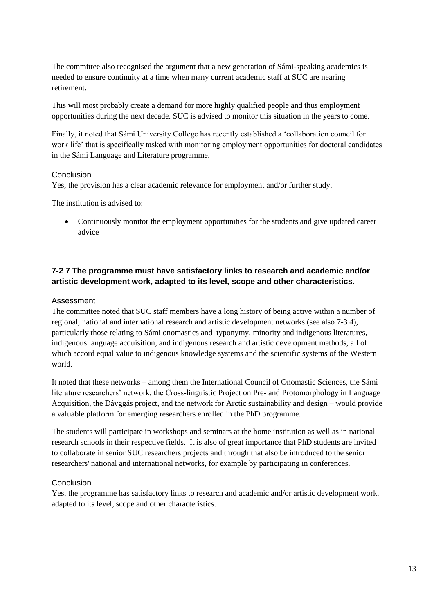The committee also recognised the argument that a new generation of Sámi-speaking academics is needed to ensure continuity at a time when many current academic staff at SUC are nearing retirement.

This will most probably create a demand for more highly qualified people and thus employment opportunities during the next decade. SUC is advised to monitor this situation in the years to come.

Finally, it noted that Sámi University College has recently established a 'collaboration council for work life' that is specifically tasked with monitoring employment opportunities for doctoral candidates in the Sámi Language and Literature programme.

#### Conclusion

Yes, the provision has a clear academic relevance for employment and/or further study.

The institution is advised to:

 Continuously monitor the employment opportunities for the students and give updated career advice

#### **7-2 7 The programme must have satisfactory links to research and academic and/or artistic development work, adapted to its level, scope and other characteristics.**

#### Assessment

The committee noted that SUC staff members have a long history of being active within a number of regional, national and international research and artistic development networks (see also 7-3 4), particularly those relating to Sámi onomastics and typonymy, minority and indigenous literatures, indigenous language acquisition, and indigenous research and artistic development methods, all of which accord equal value to indigenous knowledge systems and the scientific systems of the Western world.

It noted that these networks – among them the International Council of Onomastic Sciences, the Sámi literature researchers' network, the Cross-linguistic Project on Pre- and Protomorphology in Language Acquisition, the Dávggás project, and the network for Arctic sustainability and design – would provide a valuable platform for emerging researchers enrolled in the PhD programme.

The students will participate in workshops and seminars at the home institution as well as in national research schools in their respective fields. It is also of great importance that PhD students are invited to collaborate in senior SUC researchers projects and through that also be introduced to the senior researchers' national and international networks, for example by participating in conferences.

#### Conclusion

Yes, the programme has satisfactory links to research and academic and/or artistic development work, adapted to its level, scope and other characteristics.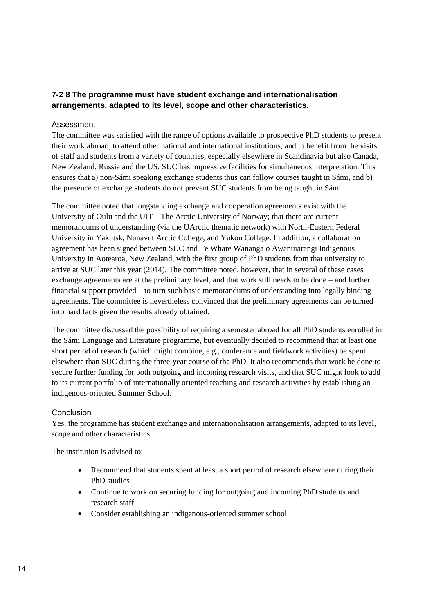#### **7-2 8 The programme must have student exchange and internationalisation arrangements, adapted to its level, scope and other characteristics.**

#### Assessment

The committee was satisfied with the range of options available to prospective PhD students to present their work abroad, to attend other national and international institutions, and to benefit from the visits of staff and students from a variety of countries, especially elsewhere in Scandinavia but also Canada, New Zealand, Russia and the US. SUC has impressive facilities for simultaneous interpretation. This ensures that a) non-Sámi speaking exchange students thus can follow courses taught in Sámi, and b) the presence of exchange students do not prevent SUC students from being taught in Sámi.

The committee noted that longstanding exchange and cooperation agreements exist with the University of Oulu and the UiT – The Arctic University of Norway; that there are current memorandums of understanding (via the UArctic thematic network) with North-Eastern Federal University in Yakutsk, Nunavut Arctic College, and Yukon College. In addition, a collaboration agreement has been signed between SUC and Te Whare Wananga o Awanuiarangi Indigenous University in Aotearoa, New Zealand, with the first group of PhD students from that university to arrive at SUC later this year (2014). The committee noted, however, that in several of these cases exchange agreements are at the preliminary level, and that work still needs to be done – and further financial support provided – to turn such basic memorandums of understanding into legally binding agreements. The committee is nevertheless convinced that the preliminary agreements can be turned into hard facts given the results already obtained.

The committee discussed the possibility of requiring a semester abroad for all PhD students enrolled in the Sámi Language and Literature programme, but eventually decided to recommend that at least one short period of research (which might combine, e.g., conference and fieldwork activities) be spent elsewhere than SUC during the three-year course of the PhD. It also recommends that work be done to secure further funding for both outgoing and incoming research visits, and that SUC might look to add to its current portfolio of internationally oriented teaching and research activities by establishing an indigenous-oriented Summer School.

#### Conclusion

Yes, the programme has student exchange and internationalisation arrangements, adapted to its level, scope and other characteristics.

The institution is advised to:

- Recommend that students spent at least a short period of research elsewhere during their PhD studies
- Continue to work on securing funding for outgoing and incoming PhD students and research staff
- Consider establishing an indigenous-oriented summer school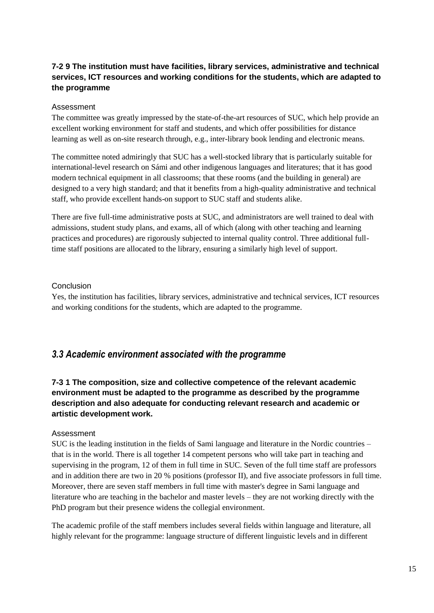#### **7-2 9 The institution must have facilities, library services, administrative and technical services, ICT resources and working conditions for the students, which are adapted to the programme**

#### Assessment

The committee was greatly impressed by the state-of-the-art resources of SUC, which help provide an excellent working environment for staff and students, and which offer possibilities for distance learning as well as on-site research through, e.g., inter-library book lending and electronic means.

The committee noted admiringly that SUC has a well-stocked library that is particularly suitable for international-level research on Sámi and other indigenous languages and literatures; that it has good modern technical equipment in all classrooms; that these rooms (and the building in general) are designed to a very high standard; and that it benefits from a high-quality administrative and technical staff, who provide excellent hands-on support to SUC staff and students alike.

There are five full-time administrative posts at SUC, and administrators are well trained to deal with admissions, student study plans, and exams, all of which (along with other teaching and learning practices and procedures) are rigorously subjected to internal quality control. Three additional fulltime staff positions are allocated to the library, ensuring a similarly high level of support.

#### Conclusion

Yes, the institution has facilities, library services, administrative and technical services, ICT resources and working conditions for the students, which are adapted to the programme.

#### <span id="page-18-0"></span>*3.3 Academic environment associated with the programme*

#### **7-3 1 The composition, size and collective competence of the relevant academic environment must be adapted to the programme as described by the programme description and also adequate for conducting relevant research and academic or artistic development work.**

#### Assessment

SUC is the leading institution in the fields of Sami language and literature in the Nordic countries – that is in the world. There is all together 14 competent persons who will take part in teaching and supervising in the program, 12 of them in full time in SUC. Seven of the full time staff are professors and in addition there are two in 20 % positions (professor II), and five associate professors in full time. Moreover, there are seven staff members in full time with master's degree in Sami language and literature who are teaching in the bachelor and master levels – they are not working directly with the PhD program but their presence widens the collegial environment.

The academic profile of the staff members includes several fields within language and literature, all highly relevant for the programme: language structure of different linguistic levels and in different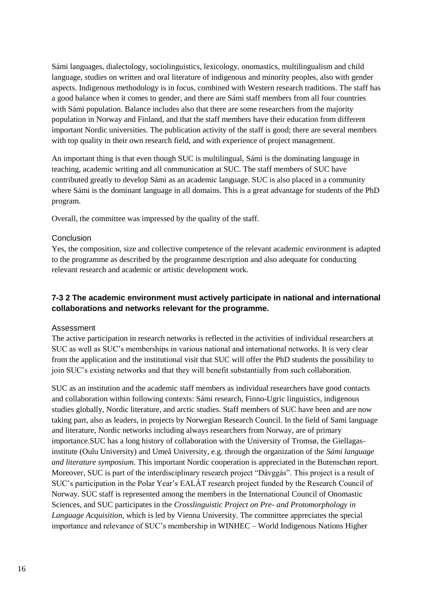Sámi languages, dialectology, sociolinguistics, lexicology, onomastics, multilingualism and child language, studies on written and oral literature of indigenous and minority peoples, also with gender aspects. Indigenous methodology is in focus, combined with Western research traditions. The staff has a good balance when it comes to gender, and there are Sámi staff members from all four countries with Sámi population. Balance includes also that there are some researchers from the majority population in Norway and Finland, and that the staff members have their education from different important Nordic universities. The publication activity of the staff is good; there are several members with top quality in their own research field, and with experience of project management.

An important thing is that even though SUC is multilingual, Sámi is the dominating language in teaching, academic writing and all communication at SUC. The staff members of SUC have contributed greatly to develop Sámi as an academic language. SUC is also placed in a community where Sámi is the dominant language in all domains. This is a great advantage for students of the PhD program.

Overall, the committee was impressed by the quality of the staff.

#### Conclusion

Yes, the composition, size and collective competence of the relevant academic environment is adapted to the programme as described by the programme description and also adequate for conducting relevant research and academic or artistic development work.

#### **7-3 2 The academic environment must actively participate in national and international collaborations and networks relevant for the programme.**

#### Assessment

The active participation in research networks is reflected in the activities of individual researchers at SUC as well as SUC's memberships in various national and international networks. It is very clear from the application and the institutional visit that SUC will offer the PhD students the possibility to join SUC's existing networks and that they will benefit substantially from such collaboration.

SUC as an institution and the academic staff members as individual researchers have good contacts and collaboration within following contexts: Sámi research, Finno-Ugric linguistics, indigenous studies globally, Nordic literature, and arctic studies. Staff members of SUC have been and are now taking part, also as leaders, in projects by Norwegian Research Council. In the field of Sami language and literature, Nordic networks including always researchers from Norway, are of primary importance.SUC has a long history of collaboration with the University of Tromsø, the Giellagasinstitute (Oulu University) and Umeå University, e.g. through the organization of the *Sámi language and literature symposium*. This important Nordic cooperation is appreciated in the Butenschøn report. Moreover, SUC is part of the interdisciplinary research project "Dávggás". This project is a result of SUC's participation in the Polar Year's EALÁT research project funded by the Research Council of Norway. SUC staff is represented among the members in the International Council of Onomastic Sciences, and SUC participates in the *Crosslinguistic Project on Pre- and Protomorphology in Language Acquisition*, which is led by Vienna University. The committee appreciates the special importance and relevance of SUC's membership in WINHEC – World Indigenous Nations Higher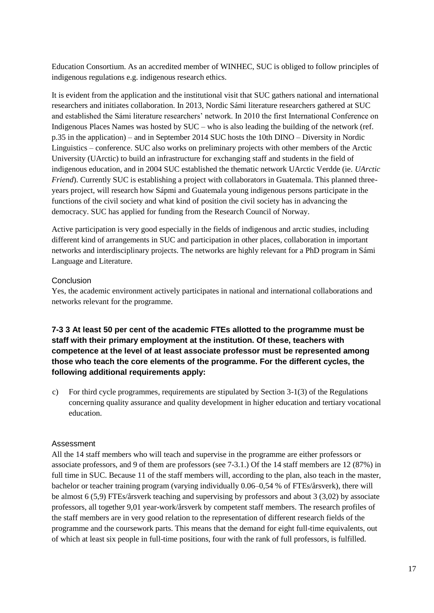Education Consortium. As an accredited member of WINHEC, SUC is obliged to follow principles of indigenous regulations e.g. indigenous research ethics.

It is evident from the application and the institutional visit that SUC gathers national and international researchers and initiates collaboration. In 2013, Nordic Sámi literature researchers gathered at SUC and established the Sámi literature researchers' network. In 2010 the first International Conference on Indigenous Places Names was hosted by SUC – who is also leading the building of the network (ref. p.35 in the application) – and in September 2014 SUC hosts the 10th DINO – Diversity in Nordic Linguistics – conference. SUC also works on preliminary projects with other members of the Arctic University (UArctic) to build an infrastructure for exchanging staff and students in the field of indigenous education, and in 2004 SUC established the thematic network UArctic Verdde (ie. *UArctic Friend*). Currently SUC is establishing a project with collaborators in Guatemala. This planned threeyears project, will research how Sápmi and Guatemala young indigenous persons participate in the functions of the civil society and what kind of position the civil society has in advancing the democracy. SUC has applied for funding from the Research Council of Norway.

Active participation is very good especially in the fields of indigenous and arctic studies, including different kind of arrangements in SUC and participation in other places, collaboration in important networks and interdisciplinary projects. The networks are highly relevant for a PhD program in Sámi Language and Literature.

#### Conclusion

Yes, the academic environment actively participates in national and international collaborations and networks relevant for the programme.

**7-3 3 At least 50 per cent of the academic FTEs allotted to the programme must be staff with their primary employment at the institution. Of these, teachers with competence at the level of at least associate professor must be represented among those who teach the core elements of the programme. For the different cycles, the following additional requirements apply:**

c) For third cycle programmes, requirements are stipulated by Section 3-1(3) of the Regulations concerning quality assurance and quality development in higher education and tertiary vocational education.

#### Assessment

All the 14 staff members who will teach and supervise in the programme are either professors or associate professors, and 9 of them are professors (see 7-3.1.) Of the 14 staff members are 12 (87%) in full time in SUC. Because 11 of the staff members will, according to the plan, also teach in the master, bachelor or teacher training program (varying individually 0.06–0,54 % of FTEs/årsverk), there will be almost 6 (5,9) FTEs/årsverk teaching and supervising by professors and about 3 (3,02) by associate professors, all together 9,01 year-work/årsverk by competent staff members. The research profiles of the staff members are in very good relation to the representation of different research fields of the programme and the coursework parts. This means that the demand for eight full-time equivalents, out of which at least six people in full-time positions, four with the rank of full professors, is fulfilled.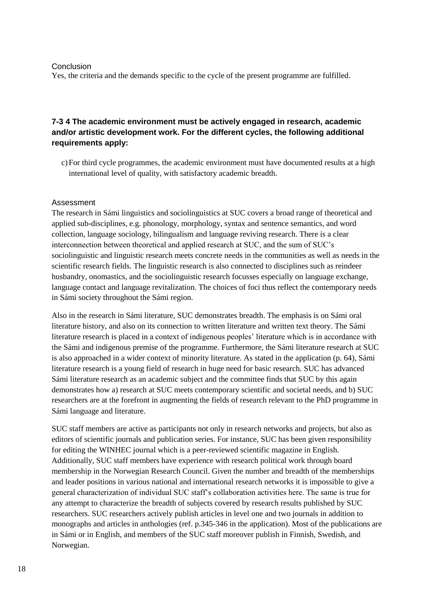#### Conclusion

Yes, the criteria and the demands specific to the cycle of the present programme are fulfilled.

#### **7-3 4 The academic environment must be actively engaged in research, academic and/or artistic development work. For the different cycles, the following additional requirements apply:**

c)For third cycle programmes, the academic environment must have documented results at a high international level of quality, with satisfactory academic breadth.

#### Assessment

The research in Sámi linguistics and sociolinguistics at SUC covers a broad range of theoretical and applied sub-disciplines, e.g. phonology, morphology, syntax and sentence semantics, and word collection, language sociology, bilingualism and language reviving research. There is a clear interconnection between theoretical and applied research at SUC, and the sum of SUC's sociolinguistic and linguistic research meets concrete needs in the communities as well as needs in the scientific research fields. The linguistic research is also connected to disciplines such as reindeer husbandry, onomastics, and the sociolinguistic research focusses especially on language exchange, language contact and language revitalization. The choices of foci thus reflect the contemporary needs in Sámi society throughout the Sámi region.

Also in the research in Sámi literature, SUC demonstrates breadth. The emphasis is on Sámi oral literature history, and also on its connection to written literature and written text theory. The Sámi literature research is placed in a context of indigenous peoples' literature which is in accordance with the Sámi and indigenous premise of the programme. Furthermore, the Sámi literature research at SUC is also approached in a wider context of minority literature. As stated in the application (p. 64), Sámi literature research is a young field of research in huge need for basic research. SUC has advanced Sámi literature research as an academic subject and the committee finds that SUC by this again demonstrates how a) research at SUC meets contemporary scientific and societal needs, and b) SUC researchers are at the forefront in augmenting the fields of research relevant to the PhD programme in Sámi language and literature.

SUC staff members are active as participants not only in research networks and projects, but also as editors of scientific journals and publication series. For instance, SUC has been given responsibility for editing the WINHEC journal which is a peer-reviewed scientific magazine in English. Additionally, SUC staff members have experience with research political work through board membership in the Norwegian Research Council. Given the number and breadth of the memberships and leader positions in various national and international research networks it is impossible to give a general characterization of individual SUC staff's collaboration activities here. The same is true for any attempt to characterize the breadth of subjects covered by research results published by SUC researchers. SUC researchers actively publish articles in level one and two journals in addition to monographs and articles in anthologies (ref. p.345-346 in the application). Most of the publications are in Sámi or in English, and members of the SUC staff moreover publish in Finnish, Swedish, and Norwegian.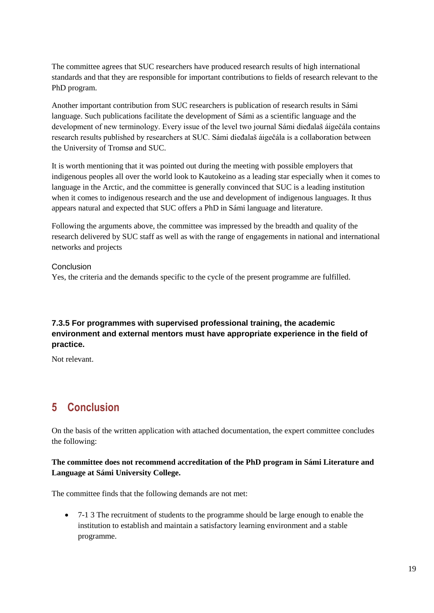The committee agrees that SUC researchers have produced research results of high international standards and that they are responsible for important contributions to fields of research relevant to the PhD program.

Another important contribution from SUC researchers is publication of research results in Sámi language. Such publications facilitate the development of Sámi as a scientific language and the development of new terminology. Every issue of the level two journal Sámi dieđalaš áigečála contains research results published by researchers at SUC. Sámi dieđalaš áigečála is a collaboration between the University of Tromsø and SUC.

It is worth mentioning that it was pointed out during the meeting with possible employers that indigenous peoples all over the world look to Kautokeino as a leading star especially when it comes to language in the Arctic, and the committee is generally convinced that SUC is a leading institution when it comes to indigenous research and the use and development of indigenous languages. It thus appears natural and expected that SUC offers a PhD in Sámi language and literature.

Following the arguments above, the committee was impressed by the breadth and quality of the research delivered by SUC staff as well as with the range of engagements in national and international networks and projects

Conclusion Yes, the criteria and the demands specific to the cycle of the present programme are fulfilled.

#### **7.3.5 For programmes with supervised professional training, the academic environment and external mentors must have appropriate experience in the field of practice.**

Not relevant.

# <span id="page-22-0"></span>**5 Conclusion**

On the basis of the written application with attached documentation, the expert committee concludes the following:

#### **The committee does not recommend accreditation of the PhD program in Sámi Literature and Language at Sámi University College.**

The committee finds that the following demands are not met:

 7-1 3 The recruitment of students to the programme should be large enough to enable the institution to establish and maintain a satisfactory learning environment and a stable programme.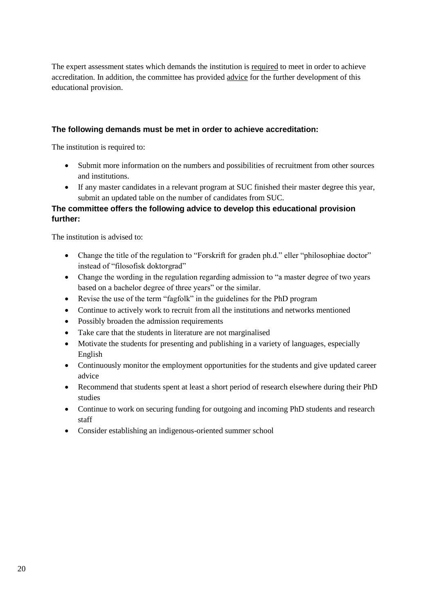The expert assessment states which demands the institution is required to meet in order to achieve accreditation. In addition, the committee has provided advice for the further development of this educational provision.

#### **The following demands must be met in order to achieve accreditation:**

The institution is required to:

- Submit more information on the numbers and possibilities of recruitment from other sources and institutions.
- If any master candidates in a relevant program at SUC finished their master degree this year, submit an updated table on the number of candidates from SUC.

#### **The committee offers the following advice to develop this educational provision further:**

The institution is advised to:

- Change the title of the regulation to "Forskrift for graden ph.d." eller "philosophiae doctor" instead of "filosofisk doktorgrad"
- Change the wording in the regulation regarding admission to "a master degree of two years based on a bachelor degree of three years" or the similar.
- Revise the use of the term "fagfolk" in the guidelines for the PhD program
- Continue to actively work to recruit from all the institutions and networks mentioned
- Possibly broaden the admission requirements
- Take care that the students in literature are not marginalised
- Motivate the students for presenting and publishing in a variety of languages, especially English
- Continuously monitor the employment opportunities for the students and give updated career advice
- Recommend that students spent at least a short period of research elsewhere during their PhD studies
- Continue to work on securing funding for outgoing and incoming PhD students and research staff
- Consider establishing an indigenous-oriented summer school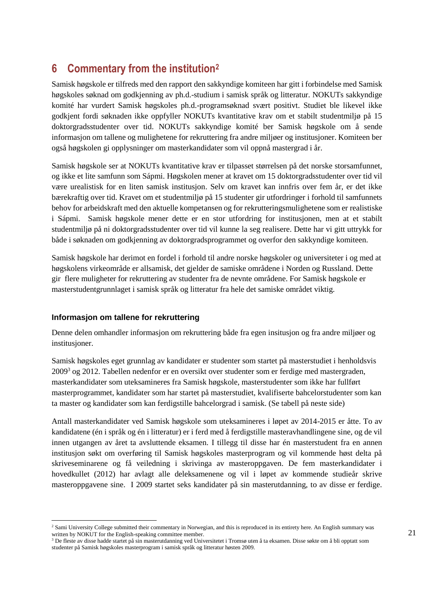# <span id="page-24-0"></span>**6 Commentary from the institution<sup>2</sup>**

Samisk høgskole er tilfreds med den rapport den sakkyndige komiteen har gitt i forbindelse med Samisk høgskoles søknad om godkjenning av ph.d.-studium i samisk språk og litteratur. NOKUTs sakkyndige komité har vurdert Samisk høgskoles ph.d.-programsøknad svært positivt. Studiet ble likevel ikke godkjent fordi søknaden ikke oppfyller NOKUTs kvantitative krav om et stabilt studentmiljø på 15 doktorgradsstudenter over tid. NOKUTs sakkyndige komité ber Samisk høgskole om å sende informasjon om tallene og mulighetene for rekruttering fra andre miljøer og institusjoner. Komiteen ber også høgskolen gi opplysninger om masterkandidater som vil oppnå mastergrad i år.

Samisk høgskole ser at NOKUTs kvantitative krav er tilpasset størrelsen på det norske storsamfunnet, og ikke et lite samfunn som Sápmi. Høgskolen mener at kravet om 15 doktorgradsstudenter over tid vil være urealistisk for en liten samisk institusjon. Selv om kravet kan innfris over fem år, er det ikke bærekraftig over tid. Kravet om et studentmiljø på 15 studenter gir utfordringer i forhold til samfunnets behov for arbeidskraft med den aktuelle kompetansen og for rekrutteringsmulighetene som er realistiske i Sápmi. Samisk høgskole mener dette er en stor utfordring for institusjonen, men at et stabilt studentmiljø på ni doktorgradsstudenter over tid vil kunne la seg realisere. Dette har vi gitt uttrykk for både i søknaden om godkjenning av doktorgradsprogrammet og overfor den sakkyndige komiteen.

Samisk høgskole har derimot en fordel i forhold til andre norske høgskoler og universiteter i og med at høgskolens virkeområde er allsamisk, det gjelder de samiske områdene i Norden og Russland. Dette gir flere muligheter for rekruttering av studenter fra de nevnte områdene. For Samisk høgskole er masterstudentgrunnlaget i samisk språk og litteratur fra hele det samiske området viktig.

#### **Informasjon om tallene for rekruttering**

l

Denne delen omhandler informasjon om rekruttering både fra egen insitusjon og fra andre miljøer og institusjoner.

Samisk høgskoles eget grunnlag av kandidater er studenter som startet på masterstudiet i henholdsvis  $2009<sup>3</sup>$  og 2012. Tabellen nedenfor er en oversikt over studenter som er ferdige med mastergraden, masterkandidater som uteksamineres fra Samisk høgskole, masterstudenter som ikke har fullført masterprogrammet, kandidater som har startet på masterstudiet, kvalifiserte bahcelorstudenter som kan ta master og kandidater som kan ferdigstille bahcelorgrad i samisk. (Se tabell på neste side)

Antall masterkandidater ved Samisk høgskole som uteksamineres i løpet av 2014-2015 er åtte. To av kandidatene (én i språk og én i litteratur) er i ferd med å ferdigstille masteravhandlingene sine, og de vil innen utgangen av året ta avsluttende eksamen. I tillegg til disse har én masterstudent fra en annen institusjon søkt om overføring til Samisk høgskoles masterprogram og vil kommende høst delta på skriveseminarene og få veiledning i skrivinga av masteroppgaven. De fem masterkandidater i hovedkullet (2012) har avlagt alle deleksamenene og vil i løpet av kommende studieår skrive masteroppgavene sine. I 2009 startet seks kandidater på sin masterutdanning, to av disse er ferdige.

<sup>&</sup>lt;sup>2</sup> Sami University College submitted their commentary in Norwegian, and this is reproduced in its entirety here. An English summary was written by NOKUT for the English-speaking committee member.

<sup>&</sup>lt;sup>3</sup> De fleste av disse hadde startet på sin masterutdanning ved Universitetet i Tromsø uten å ta eksamen. Disse søkte om å bli opptatt som studenter på Samisk høgskoles masterprogram i samisk språk og litteratur høsten 2009.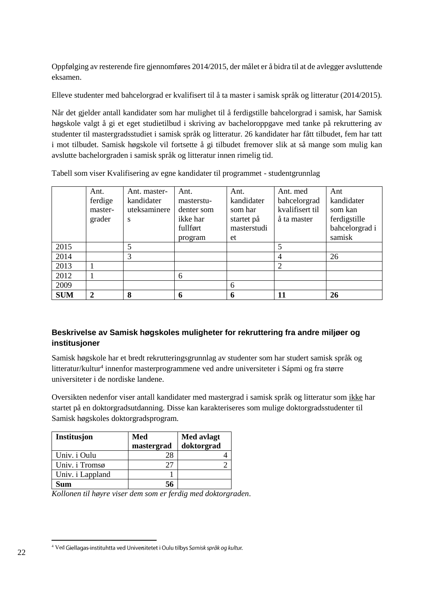Oppfølging av resterende fire gjennomføres 2014/2015, der målet er å bidra til at de avlegger avsluttende eksamen.

Elleve studenter med bahcelorgrad er kvalifisert til å ta master i samisk språk og litteratur (2014/2015).

Når det gjelder antall kandidater som har mulighet til å ferdigstille bahcelorgrad i samisk, har Samisk høgskole valgt å gi et eget studietilbud i skriving av bacheloroppgave med tanke på rekruttering av studenter til mastergradsstudiet i samisk språk og litteratur. 26 kandidater har fått tilbudet, fem har tatt i mot tilbudet. Samisk høgskole vil fortsette å gi tilbudet fremover slik at så mange som mulig kan avslutte bachelorgraden i samisk språk og litteratur innen rimelig tid.

Tabell som viser Kvalifisering av egne kandidater til programmet - studentgrunnlag

|            | Ant.         | Ant. master- | Ant.       | Ant.        | Ant. med        | Ant            |
|------------|--------------|--------------|------------|-------------|-----------------|----------------|
|            | ferdige      | kandidater   | masterstu- | kandidater  | bahcelorgrad    | kandidater     |
|            | master-      | uteksaminere | denter som | som har     | kvalifisert til | som kan        |
|            | grader       | S            | ikke har   | startet på  | å ta master     | ferdigstille   |
|            |              |              | fullført   | masterstudi |                 | bahcelorgrad i |
|            |              |              | program    | et          |                 | samisk         |
| 2015       |              | 5            |            |             | 5               |                |
| 2014       |              | 3            |            |             | 4               | 26             |
| 2013       |              |              |            |             | $\overline{2}$  |                |
| 2012       |              |              | 6          |             |                 |                |
| 2009       |              |              |            | 6           |                 |                |
| <b>SUM</b> | $\mathbf{2}$ | 8            | h          | 6           | 11              | 26             |

#### **Beskrivelse av Samisk høgskoles muligheter for rekruttering fra andre miljøer og institusjoner**

Samisk høgskole har et bredt rekrutteringsgrunnlag av studenter som har studert samisk språk og litteratur/kultur<sup>4</sup> innenfor masterprogrammene ved andre universiteter i Sápmi og fra større universiteter i de nordiske landene.

Oversikten nedenfor viser antall kandidater med mastergrad i samisk språk og litteratur som ikke har startet på en doktorgradsutdanning. Disse kan karakteriseres som mulige doktorgradsstudenter til Samisk høgskoles doktorgradsprogram.

| Institusjon      | Med        | Med avlagt |
|------------------|------------|------------|
|                  | mastergrad | doktorgrad |
| Univ. i Oulu     | 28         |            |
| Univ. i Tromsø   | 27         |            |
| Univ. i Lappland |            |            |
| Sum              | 56         |            |

*Kollonen til høyre viser dem som er ferdig med doktorgraden*.

 $\overline{a}$ <sup>4</sup> Ved Giellagas-instituhtta ved Universitetet i Oulu tilbys Samisk språk og kultur.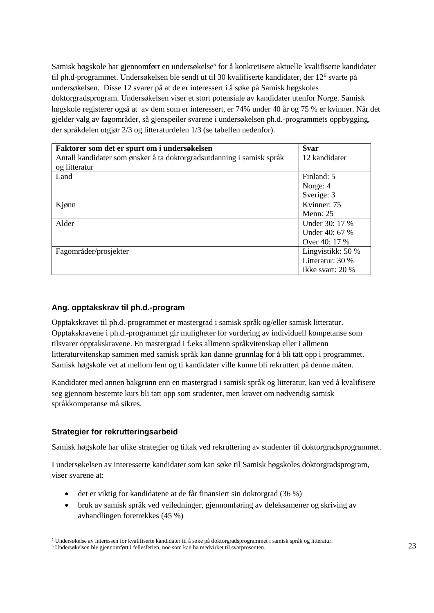Samisk høgskole har gjennomført en undersøkelse<sup>5</sup> for å konkretisere aktuelle kvalifiserte kandidater til ph.d-programmet. Undersøkelsen ble sendt ut til 30 kvalifiserte kandidater, der 12<sup>6</sup> svarte på undersøkelsen. Disse 12 svarer på at de er interessert i å søke på Samisk høgskoles doktorgradsprogram. Undersøkelsen viser et stort potensiale av kandidater utenfor Norge. Samisk høgskole registerer også at av dem som er interessert, er 74% under 40 år og 75 % er kvinner. Når det gjelder valg av fagområder, så gjenspeiler svarene i undersøkelsen ph.d.-programmets oppbygging, der språkdelen utgjør 2/3 og litteraturdelen 1/3 (se tabellen nedenfor).

| Faktorer som det er spurt om i undersøkelsen                          | <b>Svar</b>       |
|-----------------------------------------------------------------------|-------------------|
| Antall kandidater som ønsker å ta doktorgradsutdanning i samisk språk | 12 kandidater     |
| og litteratur                                                         |                   |
| Land                                                                  | Finland: 5        |
|                                                                       | Norge: 4          |
|                                                                       | Sverige: 3        |
| Kjønn                                                                 | Kvinner: 75       |
|                                                                       | Menn: $25$        |
| Alder                                                                 | Under 30: 17 %    |
|                                                                       | Under 40: 67 %    |
|                                                                       | Over 40: 17 %     |
| Fagområder/prosjekter                                                 | Lingvistikk: 50 % |
|                                                                       | Litteratur: 30 %  |
|                                                                       | Ikke svart: 20 %  |

#### **Ang. opptakskrav til ph.d.-program**

Opptakskravet til ph.d.-programmet er mastergrad i samisk språk og/eller samisk litteratur. Opptakskravene i ph.d.-programmet gir muligheter for vurdering av individuell kompetanse som tilsvarer opptakskravene. En mastergrad i f.eks allmenn språkvitenskap eller i allmenn litteraturvitenskap sammen med samisk språk kan danne grunnlag for å bli tatt opp i programmet. Samisk høgskole vet at mellom fem og ti kandidater ville kunne bli rekruttert på denne måten.

Kandidater med annen bakgrunn enn en mastergrad i samisk språk og litteratur, kan ved å kvalifisere seg gjennom bestemte kurs bli tatt opp som studenter, men kravet om nødvendig samisk språkkompetanse må sikres.

#### **Strategier for rekrutteringsarbeid**

l

Samisk høgskole har ulike strategier og tiltak ved rekruttering av studenter til doktorgradsprogrammet.

I undersøkelsen av interesserte kandidater som kan søke til Samisk høgskoles doktorgradsprogram, viser svarene at:

- det er viktig for kandidatene at de får finansiert sin doktorgrad (36 %)
- bruk av samisk språk ved veiledninger, gjennomføring av deleksamener og skriving av avhandlingen foretrekkes (45 %)

<sup>5</sup> Undersøkelse av interessen for kvalifiserte kandidater til å søke på doktorgradsprogrammet i samisk språk og litteratur.

<sup>6</sup> Undersøkelsen ble gjennomført i fellesferien, noe som kan ha medvirket til svarprosenten.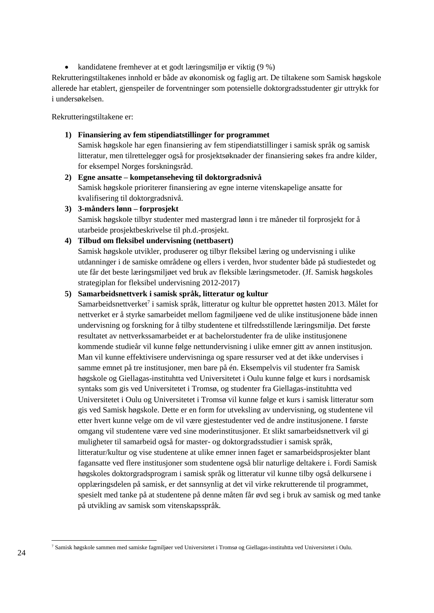• kandidatene fremhever at et godt læringsmiljø er viktig  $(9\%)$ 

Rekrutteringstiltakenes innhold er både av økonomisk og faglig art. De tiltakene som Samisk høgskole allerede har etablert, gjenspeiler de forventninger som potensielle doktorgradsstudenter gir uttrykk for i undersøkelsen.

Rekrutteringstiltakene er:

**1) Finansiering av fem stipendiatstillinger for programmet** 

Samisk høgskole har egen finansiering av fem stipendiatstillinger i samisk språk og samisk litteratur, men tilrettelegger også for prosjektsøknader der finansiering søkes fra andre kilder, for eksempel Norges forskningsråd.

- **2) Egne ansatte – kompetanseheving til doktorgradsnivå** Samisk høgskole prioriterer finansiering av egne interne vitenskapelige ansatte for kvalifisering til doktorgradsnivå.
- **3) 3-månders lønn – forprosjekt** Samisk høgskole tilbyr studenter med mastergrad lønn i tre måneder til forprosjekt for å utarbeide prosjektbeskrivelse til ph.d.-prosjekt.
- **4) Tilbud om fleksibel undervisning (nettbasert)** Samisk høgskole utvikler, produserer og tilbyr fleksibel læring og undervisning i ulike

utdanninger i de samiske områdene og ellers i verden, hvor studenter både på studiestedet og ute får det beste læringsmiljøet ved bruk av fleksible læringsmetoder. (Jf. Samisk høgskoles strategiplan for fleksibel undervisning 2012-2017)

#### **5) Samarbeidsnettverk i samisk språk, litteratur og kultur**

Samarbeidsnettverket<sup>7</sup> i samisk språk, litteratur og kultur ble opprettet høsten 2013. Målet for nettverket er å styrke samarbeidet mellom fagmiljøene ved de ulike institusjonene både innen undervisning og forskning for å tilby studentene et tilfredsstillende læringsmiljø. Det første resultatet av nettverkssamarbeidet er at bachelorstudenter fra de ulike institusjonene kommende studieår vil kunne følge nettundervisning i ulike emner gitt av annen institusjon. Man vil kunne effektivisere undervisninga og spare ressurser ved at det ikke undervises i samme emnet på tre institusjoner, men bare på én. Eksempelvis vil studenter fra Samisk høgskole og Giellagas-instituhtta ved Universitetet i Oulu kunne følge et kurs i nordsamisk syntaks som gis ved Universitetet i Tromsø, og studenter fra Giellagas-instituhtta ved Universitetet i Oulu og Universitetet i Tromsø vil kunne følge et kurs i samisk litteratur som gis ved Samisk høgskole. Dette er en form for utveksling av undervisning, og studentene vil etter hvert kunne velge om de vil være gjestestudenter ved de andre institusjonene. I første omgang vil studentene være ved sine moderinstitusjoner. Et slikt samarbeidsnettverk vil gi muligheter til samarbeid også for master- og doktorgradsstudier i samisk språk, litteratur/kultur og vise studentene at ulike emner innen faget er samarbeidsprosjekter blant fagansatte ved flere institusjoner som studentene også blir naturlige deltakere i. Fordi Samisk høgskoles doktorgradsprogram i samisk språk og litteratur vil kunne tilby også delkursene i opplæringsdelen på samisk, er det sannsynlig at det vil virke rekrutterende til programmet, spesielt med tanke på at studentene på denne måten får øvd seg i bruk av samisk og med tanke på utvikling av samisk som vitenskapsspråk.

l <sup>7</sup> Samisk høgskole sammen med samiske fagmiljøer ved Universitetet i Tromsø og Giellagas-instituhtta ved Universitetet i Oulu.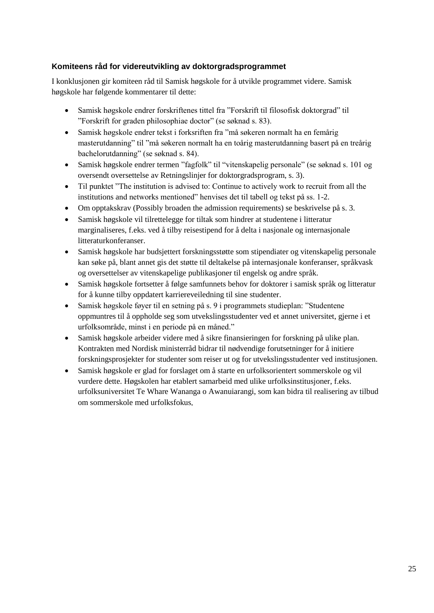#### **Komiteens råd for videreutvikling av doktorgradsprogrammet**

I konklusjonen gir komiteen råd til Samisk høgskole for å utvikle programmet videre. Samisk høgskole har følgende kommentarer til dette:

- Samisk høgskole endrer forskriftenes tittel fra "Forskrift til filosofisk doktorgrad" til "Forskrift for graden philosophiae doctor" (se søknad s. 83).
- Samisk høgskole endrer tekst i forksriften fra "må søkeren normalt ha en femårig masterutdanning" til "må søkeren normalt ha en toårig masterutdanning basert på en treårig bachelorutdanning" (se søknad s. 84).
- Samisk høgskole endrer termen "fagfolk" til "vitenskapelig personale" (se søknad s. 101 og oversendt oversettelse av Retningslinjer for doktorgradsprogram, s. 3).
- Til punktet "The institution is advised to: Continue to actively work to recruit from all the institutions and networks mentioned" henvises det til tabell og tekst på ss. 1-2.
- Om opptakskrav (Possibly broaden the admission requirements) se beskrivelse på s. 3.
- Samisk høgskole vil tilrettelegge for tiltak som hindrer at studentene i litteratur marginaliseres, f.eks. ved å tilby reisestipend for å delta i nasjonale og internasjonale litteraturkonferanser.
- Samisk høgskole har budsjettert forskningsstøtte som stipendiater og vitenskapelig personale kan søke på, blant annet gis det støtte til deltakelse på internasjonale konferanser, språkvask og oversettelser av vitenskapelige publikasjoner til engelsk og andre språk.
- Samisk høgskole fortsetter å følge samfunnets behov for doktorer i samisk språk og litteratur for å kunne tilby oppdatert karriereveiledning til sine studenter.
- Samisk høgskole føyer til en setning på s. 9 i programmets studieplan: "Studentene oppmuntres til å oppholde seg som utvekslingsstudenter ved et annet universitet, gjerne i et urfolksområde, minst i en periode på en måned."
- Samisk høgskole arbeider videre med å sikre finansieringen for forskning på ulike plan. Kontrakten med Nordisk ministerråd bidrar til nødvendige forutsetninger for å initiere forskningsprosjekter for studenter som reiser ut og for utvekslingsstudenter ved institusjonen.
- Samisk høgskole er glad for forslaget om å starte en urfolksorientert sommerskole og vil vurdere dette. Høgskolen har etablert samarbeid med ulike urfolksinstitusjoner, f.eks. urfolksuniversitet Te Whare Wananga o Awanuiarangi, som kan bidra til realisering av tilbud om sommerskole med urfolksfokus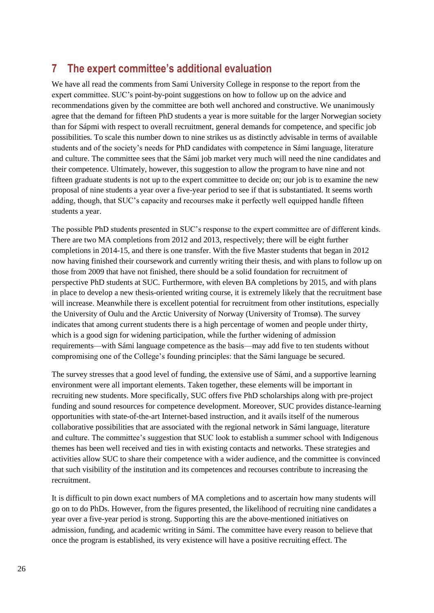# <span id="page-29-0"></span>**7 The expert committee's additional evaluation**

We have all read the comments from Sami University College in response to the report from the expert committee. SUC's point-by-point suggestions on how to follow up on the advice and recommendations given by the committee are both well anchored and constructive. We unanimously agree that the demand for fifteen PhD students a year is more suitable for the larger Norwegian society than for Sápmi with respect to overall recruitment, general demands for competence, and specific job possibilities. To scale this number down to nine strikes us as distinctly advisable in terms of available students and of the society's needs for PhD candidates with competence in Sámi language, literature and culture. The committee sees that the Sámi job market very much will need the nine candidates and their competence. Ultimately, however, this suggestion to allow the program to have nine and not fifteen graduate students is not up to the expert committee to decide on; our job is to examine the new proposal of nine students a year over a five-year period to see if that is substantiated. It seems worth adding, though, that SUC's capacity and recourses make it perfectly well equipped handle fifteen students a year.

The possible PhD students presented in SUC's response to the expert committee are of different kinds. There are two MA completions from 2012 and 2013, respectively; there will be eight further completions in 2014-15, and there is one transfer. With the five Master students that began in 2012 now having finished their coursework and currently writing their thesis, and with plans to follow up on those from 2009 that have not finished, there should be a solid foundation for recruitment of perspective PhD students at SUC. Furthermore, with eleven BA completions by 2015, and with plans in place to develop a new thesis-oriented writing course, it is extremely likely that the recruitment base will increase. Meanwhile there is excellent potential for recruitment from other institutions, especially the University of Oulu and the Arctic University of Norway (University of Tromsø). The survey indicates that among current students there is a high percentage of women and people under thirty, which is a good sign for widening participation, while the further widening of admission requirements––with Sámi language competence as the basis––may add five to ten students without compromising one of the College's founding principles: that the Sámi language be secured.

The survey stresses that a good level of funding, the extensive use of Sámi, and a supportive learning environment were all important elements. Taken together, these elements will be important in recruiting new students. More specifically, SUC offers five PhD scholarships along with pre-project funding and sound resources for competence development. Moreover, SUC provides distance-learning opportunities with state-of-the-art Internet-based instruction, and it avails itself of the numerous collaborative possibilities that are associated with the regional network in Sámi language, literature and culture. The committee's suggestion that SUC look to establish a summer school with Indigenous themes has been well received and ties in with existing contacts and networks. These strategies and activities allow SUC to share their competence with a wider audience, and the committee is convinced that such visibility of the institution and its competences and recourses contribute to increasing the recruitment.

It is difficult to pin down exact numbers of MA completions and to ascertain how many students will go on to do PhDs. However, from the figures presented, the likelihood of recruiting nine candidates a year over a five-year period is strong. Supporting this are the above-mentioned initiatives on admission, funding, and academic writing in Sámi. The committee have every reason to believe that once the program is established, its very existence will have a positive recruiting effect. The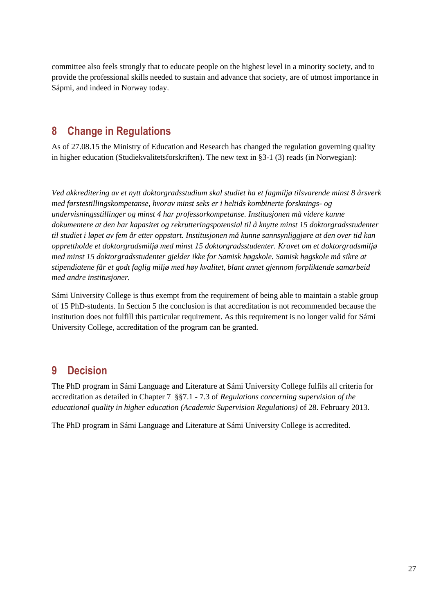committee also feels strongly that to educate people on the highest level in a minority society, and to provide the professional skills needed to sustain and advance that society, are of utmost importance in Sápmi, and indeed in Norway today.

# <span id="page-30-0"></span>**8 Change in Regulations**

As of 27.08.15 the Ministry of Education and Research has changed the regulation governing quality in higher education (Studiekvalitetsforskriften). The new text in §3-1 (3) reads (in Norwegian):

*Ved akkreditering av et nytt doktorgradsstudium skal studiet ha et fagmiljø tilsvarende minst 8 årsverk med førstestillingskompetanse, hvorav minst seks er i heltids kombinerte forsknings- og undervisningsstillinger og minst 4 har professorkompetanse. Institusjonen må videre kunne dokumentere at den har kapasitet og rekrutteringspotensial til å knytte minst 15 doktorgradsstudenter til studiet i løpet av fem år etter oppstart. Institusjonen må kunne sannsynliggjøre at den over tid kan opprettholde et doktorgradsmiljø med minst 15 doktorgradsstudenter. Kravet om et doktorgradsmiljø med minst 15 doktorgradsstudenter gjelder ikke for Samisk høgskole. Samisk høgskole må sikre at stipendiatene får et godt faglig miljø med høy kvalitet, blant annet gjennom forpliktende samarbeid med andre institusjoner.*

Sámi University College is thus exempt from the requirement of being able to maintain a stable group of 15 PhD-students. In Section 5 the conclusion is that accreditation is not recommended because the institution does not fulfill this particular requirement. As this requirement is no longer valid for Sámi University College, accreditation of the program can be granted.

# <span id="page-30-1"></span>**9 Decision**

The PhD program in Sámi Language and Literature at Sámi University College fulfils all criteria for accreditation as detailed in Chapter 7 §§7.1 - 7.3 of *Regulations concerning supervision of the educational quality in higher education (Academic Supervision Regulations)* of 28. February 2013.

The PhD program in Sámi Language and Literature at Sámi University College is accredited.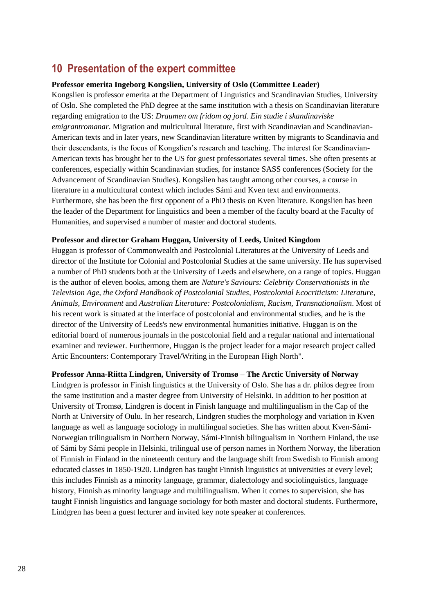# <span id="page-31-0"></span>**10 Presentation of the expert committee**

#### **Professor emerita Ingeborg Kongslien, University of Oslo (Committee Leader)**

Kongslien is professor emerita at the Department of Linguistics and Scandinavian Studies, University of Oslo. She completed the PhD degree at the same institution with a thesis on Scandinavian literature regarding emigration to the US: *Draumen om fridom og jord. Ein studie i skandinaviske emigrantromanar*. Migration and multicultural literature, first with Scandinavian and Scandinavian-American texts and in later years, new Scandinavian literature written by migrants to Scandinavia and their descendants, is the focus of Kongslien's research and teaching. The interest for Scandinavian-American texts has brought her to the US for guest professoriates several times. She often presents at conferences, especially within Scandinavian studies, for instance SASS conferences (Society for the Advancement of Scandinavian Studies). Kongslien has taught among other courses, a course in literature in a multicultural context which includes Sámi and Kven text and environments. Furthermore, she has been the first opponent of a PhD thesis on Kven literature. Kongslien has been the leader of the Department for linguistics and been a member of the faculty board at the Faculty of Humanities, and supervised a number of master and doctoral students.

#### **Professor and director Graham Huggan, University of Leeds, United Kingdom**

Huggan is professor of Commonwealth and Postcolonial Literatures at the University of Leeds and director of the Institute for Colonial and Postcolonial Studies at the same university. He has supervised a number of PhD students both at the University of Leeds and elsewhere, on a range of topics. Huggan is the author of eleven books, among them are *Nature's Saviours: Celebrity Conservationists in the Television Age*, *the Oxford Handbook of Postcolonial Studies*, *Postcolonial Ecocriticism: Literature, Animals, Environment* and *Australian Literature: Postcolonialism, Racism, Transnationalism*. Most of his recent work is situated at the interface of postcolonial and environmental studies, and he is the director of the University of Leeds's new environmental humanities initiative. Huggan is on the editorial board of numerous journals in the postcolonial field and a regular national and international examiner and reviewer. Furthermore, Huggan is the project leader for a major research project called Artic Encounters: Contemporary Travel/Writing in the European High North".

#### **Professor Anna-Riitta Lindgren, University of Tromsø – The Arctic University of Norway**

Lindgren is professor in Finish linguistics at the University of Oslo. She has a dr. philos degree from the same institution and a master degree from University of Helsinki. In addition to her position at University of Tromsø, Lindgren is docent in Finish language and multilingualism in the Cap of the North at University of Oulu. In her research, Lindgren studies the morphology and variation in Kven language as well as language sociology in multilingual societies. She has written about Kven-Sámi-Norwegian trilingualism in Northern Norway, Sámi-Finnish bilingualism in Northern Finland, the use of Sámi by Sámi people in Helsinki, trilingual use of person names in Northern Norway, the liberation of Finnish in Finland in the nineteenth century and the language shift from Swedish to Finnish among educated classes in 1850-1920. Lindgren has taught Finnish linguistics at universities at every level; this includes Finnish as a minority language, grammar, dialectology and sociolinguistics, language history, Finnish as minority language and multilingualism. When it comes to supervision, she has taught Finnish linguistics and language sociology for both master and doctoral students. Furthermore, Lindgren has been a guest lecturer and invited key note speaker at conferences.